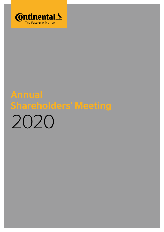

# Annual Shareholders' Meeting 2020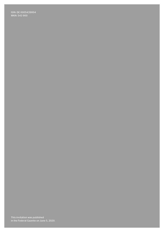ISIN: DE 0005439004 WKN: 543 900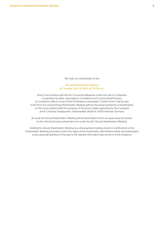We invite our shareholders to the

# Annual Shareholders' Meeting on Tuesday, July 14, 2020, at 10:00 a.m.,

which, in accordance with the Act Concerning Measures Under the Law of Companies, Cooperative Societies, Associations, Foundations and Commonhold Property to Combat the Effects of the COVID-19 Pandemic (hereinafter "COVID-19 Act"), will be held in the form of a virtual Annual Shareholders' Meeting without the physical presence of shareholders or their proxy holders (with the exception of the proxy holders appointed by the Company) at the Company headquarters, Vahrenwalder Straße 9, 30165 Hanover, Germany.

As usual, the Annual Shareholders' Meeting will be transmitted in full in an audio-visual live-stream on the internet at www.continental-ir.com under the link "Annual Shareholders' Meeting".

Holding the Annual Shareholders' Meeting as a virtual general meeting results in modifications to the Shareholders' Meeting procedures and to the rights of the shareholders. We therefore kindly ask shareholders to pay particular attention in this year to the relevant information (see section II of this invitation).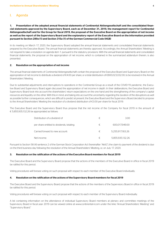# I. Agenda

# 1. Presentation of the adopted annual financial statements of Continental Aktiengesellschaft and the consolidated financial statements approved by the Supervisory Board, each as of December 31, 2019, the management report for Continental Aktiengesellschaft and for the Group for fiscal 2019, the proposal of the Executive Board on the appropriation of net income as well as the report of the Supervisory Board and the explanatory report of the Executive Board on the information provided pursuant to Section 289a (1) and Section 315a (1) of the German Commercial Code (HGB)

In its meeting on March 17, 2020, the Supervisory Board adopted the annual financial statements and consolidated financial statements prepared by the Executive Board. The annual financial statements are thereby approved. Accordingly, the Annual Shareholders' Meeting is not required to take a resolution on agenda item 1 pursuant to the statutory provisions. With the annual financial statements and consolidated financial statements, the proposal on the appropriation of net income, which is contained in the summarized addendum therein, is also presented.

# 2. Resolution on the appropriation of net income

The annual financial statements of Continental Aktiengesellschaft contain the proposal of the Executive Board and Supervisory Board on the appropriation of net income to distribute a dividend of €4.00 per share, or a total distribution of €800,023,032.00, to be resolved in the Annual Shareholders' Meeting.

Due to substantial adjustments and interruptions to operations in the Continental Group as a result of the COVID-19 pandemic, the Executive Board and Supervisory Board again discussed the appropriation of net income in depth. In their deliberations, the Executive Board and Supervisory Board took into account the shareholders' return expectations on the one hand and the strengthening of the company's capital resources and liquidity on the other. With this in mind, and taking into account the uncertainty regarding the duration of the disruptions as well as possible further consequences, which are difficult to predict at present, the Executive Board and the Supervisory Board decided to propose to the Annual Shareholders' Meeting the resolution of a dividend distribution of €3.00 per share for fiscal 2019.

The Executive Board and the Supervisory Board thus propose that the net income of the Company for fiscal 2019 in the amount of € 5,855,935,132.26 be appropriated as follows:

| Distribution of a dividend of              |   | 300.             |
|--------------------------------------------|---|------------------|
| per share entitled to dividends, totaling. | € | 600.017.949.00   |
| Carried forward to new account:            | € | 5.255.917.183.26 |
| Net income:                                | € | 5.855.935.132.26 |

Pursuant to Section 58 (4) sentence 2 of the German Stock Corporation Act (hereinafter "AktG"), the claim to payment of the dividend is due on the third business day following the resolution of the Annual Shareholders' Meeting, i.e. on July 17, 2020.

## 3. Resolution on the ratification of the actions of the Executive Board members for fiscal 2019

The Executive Board and the Supervisory Board propose that the actions of the members of the Executive Board in office in fiscal 2019 be ratified for this period.

Voting procedures will foresee voting on such proposal with respect to each member of the Executive Board individually.

## 4. Resolution on the ratification of the actions of the Supervisory Board members for fiscal 2019

The Executive Board and the Supervisory Board propose that the actions of the members of the Supervisory Board in office in fiscal 2019 be ratified for this period.

Voting procedures will foresee voting on such proposal with respect to each member of the Supervisory Board individually.

A list containing information on the attendance of individual Supervisory Board members at plenary and committee meetings of the Supervisory Board in fiscal year 2019 can be viewed online at www.continental-ir.com under the links "Annual Shareholders' Meeting" and "Supervisory Board."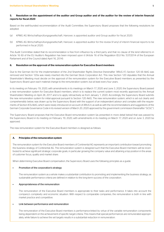# 5. Resolution on the appointment of the auditor and Group auditor and of the auditor for the review of interim financial reports for fiscal 2020

Based on the well-founded recommendation of the Audit Committee, the Supervisory Board proposes that the following resolutions be adopted:

- (a) KPMG AG Wirtschaftsprüfungsgesellschaft, Hanover, is appointed auditor and Group auditor for fiscal 2020.
- (b) KPMG AG Wirtschaftsprüfungsgesellschaft, Hanover, is appointed auditor for the review (if any) of interim financial reports to be performed in fiscal 2020.

The Audit Committee stated that its recommendation is free from influence by a third party and that no clause of the kind referred to in Article 16 (6) of the EU Auditor's Regulation has been imposed upon it (Article 16 of the Regulation (EU) No. 537/2014 of the European Parliament and of the Council dated April 16, 2014).

## 6. Resolution on the approval of the remuneration system for Executive Board members

Due to the German Act for the implementation of the 2nd Shareholder Rights Directive (hereinafter "ARUG II"), Section 120 (4) AktG was removed and Section 120a was newly inserted into the German Stock Corporation Act. This new Section 120 stipulates that the Annual Shareholder's Meeting must decide on the approval of the remuneration system for the Executive Board members as presented by the Supervisory Board upon each material change to the remuneration system, but at least every four years.

In its meeting on February 19, 2020, with amendments in its meetings on March 17, 2020 and June 3, 2020, the Supervisory Board passed a new remuneration system for Executive Board members, which is to replace the current system most recently approved by the Annual Shareholders' Meeting on April 28, 2017 and is to apply retroactively as from January 1, 2020. Accordingly, the Supervisory Board submits the new remuneration system for initial approval pursuant to Section 120 AktG. The new remuneration system, which is set out clearly and comprehensibly below, was drawn up by the Supervisory Board with the support of an independent advisor and complies with the requirements of Section 87a AktG, which were newly introduced on account of ARUG II, as well as with the recommendations and suggestions of the German Corporate Governance Code in its revised version of March 20, 2020 approved by the government commission (hereinafter "GCGC").

The Supervisory Board proposes that the Executive Board remuneration system (as presented in more detail below) that was passed by the Supervisory Board in its meeting on February 19, 2020, with amendments in its meeting on March 17, 2020 and on June 3, 2020 be approved.

The new remuneration system for the Executive Board members is designed as follows:

# A. Principles of the remuneration system

The remuneration system for the Executive Board members of Continental AG represents an important contribution toward promoting the business strategy of Continental AG. The remuneration system is designed such that the Executive Board members will be incentivized to achieve significant strategic corporate goals, in particular growing the company value and attaining a top position in the areas of customer focus, quality and market share.

When determining Executive Board compensation, the Supervisory Board uses the following principles as a guide:

# • Promotion of the corporation's strategy

The remuneration system as a whole makes a substantial contribution to promoting and implementing the business strategy, as sustainable performance criteria are defined in relation to the long-term success of the corporation.

# • Appropriateness of the remuneration

The remuneration of the Executive Board members is appropriate to their tasks and performance. It takes into account the company's complexity and economic situation. With respect to comparable companies, the remuneration is both in line with market practice and competitive.

## • Link between performance and remuneration

The remuneration of the Executive Board members is performance-linked by virtue of the variable remuneration components being dependent on the achievement of specific target criteria. This means that special performances are remunerated appropriately, while failure to achieve the set targets results in a substantial reduction in remuneration.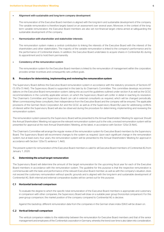#### • Alignment with sustainable and long-term company development

The remuneration of the Executive Board members is aligned with the long-term and sustainable development of the company. The variable remuneration is therefore largely based on an assessment over several years. Moreover, in the context of the longterm variable remuneration, the Executive Board members are also set non-financial target criteria aimed at safeguarding the sustainable development of the company.

#### • Harmonization with shareholder and stakeholder interests

The remuneration system makes a central contribution to linking the interests of the Executive Board with the interest of the shareholders and other stakeholders. The majority of the variable remuneration is linked to the company's performance and to the performance of Continental shares. In addition, the Executive Board undertakes to acquire shares in Continental AG during its appointment and to hold them permanently.

#### • Consistency of the remuneration system

The remuneration system for the Executive Board members is linked to the remuneration of management within the corporation, provides similar incentives and consequently sets unified goals.

## B. Procedure for determining, implementing and reviewing the remuneration system

The Supervisory Board defines the Executive Board remuneration system in accordance with the statutory provisions of Sections 87 (1), 87a (1) AktG. The Supervisory Board is supported in this task by its Chairman's Committee. This committee develops recommendations on the Executive Board remuneration system, taking into account the guidelines outlined under section A as well as the GCGC recommendations in the currently applicable version, on which the Supervisory Board will confer in detail in reaching its resolution. The Chairman's Committee and Supervisory Board can call in external consultants as required, which will be changed periodically. When commissioning these consultants, their independence from the Executive Board and the company will be ensured. The applicable provisions of the German Stock Corporation Act and the GCGC as well as of the Supervisory Board By-Laws for addressing conflicts of interest within the Supervisory Board will also be observed during the procedure for determining, implementing and reviewing the remuneration system.

The remuneration system passed by the Supervisory Board will be presented to the Annual Shareholders' Meeting for approval. Should the Annual Shareholders' Meeting not approve the relevant remuneration system put to the vote, a revised remuneration system will be presented for approval at the next Annual Shareholders' Meeting, at the latest, in accordance with Section 120a (3) AktG.

The Chairman's Committee will arrange the regular review of the remuneration system for Executive Board members by the Supervisory Board. The Supervisory Board will recommend changes to the system as required. Upon each significant change in the remuneration system, but at least every four years, the remuneration system will be presented to the Annual Shareholders' Meeting for approval in accordance with Section 120a (1), sentence 1, AktG.

The present system for remuneration of the Executive Board members is valid for all Executive Board members of Continental AG from January 1, 2020.

#### C. Determining the actual target remuneration

The Supervisory Board will determine the amount of the target remuneration for the upcoming fiscal year for each of the Executive Board members in accordance with the remuneration system. The guideline for this purpose is that the respective remuneration is commensurate with the tasks and performance of the relevant Executive Board member, as well as with the company's situation, does not exceed the customary remuneration without specific grounds and is aligned with the long-term and sustainable development of Continental AG. Both internal and external comparative studies will be carried out for this purpose.

## C.1 Horizontal (external) comparison

To evaluate the degree to which the specific total remuneration of the Executive Board members is appropriate and customary in comparison with other companies, the Supervisory Board will draw on a suitable peer group (horizontal comparison). For this peer-group comparison, the market position of the company compared to Continental AG is decisive.

Against this backdrop, different remuneration data from the companies in the German share index (DAX) will be drawn on.

#### C.2 Vertical (internal) comparison

The vertical comparison relates to the relationship between the remuneration for Executive Board members and that of the senior management and employees of the Continental corporation in Germany, whereby the trend over time is also taken into consideration.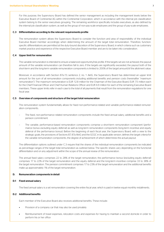For this purpose, the Supervisory Board has defined the senior management as including the management levels below the Executive Board of Continental AG within the Continental Corporation, which in accordance with the internal job classification system belong to the senior executives grouping. The remaining workforce specifically includes executives, as also defined by the internal job classification system, as well as the group of non-pay-scale employees and the group of pay-scale employees.

#### C.3 Differentiation according to the relevant requirements profile

The remuneration system allows the Supervisory Board to consider the function and area of responsibility of the individual Executive Board member accordingly when determining the amount of the target total remuneration. Therefore, functionspecific differentiations are permitted at the duty-bound discretion of the Supervisory Board, in which criteria such as customary market practice and experience of the respective Executive Board member and are to be taken into consideration.

## C.4 Upper limit for remuneration

The variable remuneration is intended to ensure a balanced opportunity/risk profile. If the targets set are not achieved, the payout amount of the variable remuneration can therefore fall to zero. If the targets are significantly exceeded, the payout both of the short-term and the long-term variable remuneration components is limited to 200% of the target amount/of the allotment value.

Moreover, in accordance with Section 87a (1), sentence 2, no. 1 AktG, the Supervisory Board has determined an upper limit amount for the sum of all remuneration components including additional benefits and pension costs (hereinafter "maximum remuneration"). The maximum remuneration is EUR 12.8 million for the Chairman of the Executive Board, EUR 7.5 million each for the Chief Financial Officer and Chief Human Relations Officer and EUR 6.9 million for each of the remaining Executive Board members. These upper limits refer in each case to the total of all payments that result from the remuneration regulations for one fiscal year.

#### C.5 Overview of components and structure of the target total remuneration

The remuneration system fundamentally allows for fixed non-performance-related and variable performance-related remuneration components.

- The fixed, non-performance related remuneration components include the fixed annual salary, additional benefits and a pension commitment.
- The variable, performance-based remuneration components comprise a short-term remuneration component (performance bonus excluding equity deferral) as well as long-term remuneration components (long-term incentive and equity deferral of the performance bonus). Before the beginning of each fiscal year, the Supervisory Board, with a view to the strategic goals, the provisions of Sections 87, 87a AktG and the GCGC in its applicable version, defines the target criteria for the variable remuneration components, the degree of achievement of which determines the actual payout.

The differentiation options outlined under C.3 require that the shares of the individual remuneration components be indicated as percentage ranges of the target total remuneration as outlined below. The specific shares vary depending on the functional differentiation and on any adjustment within the scope of the annual review of the remuneration.

The annual fixed salary comprises 22 to 28% of the target remuneration, the performance bonus (excluding equity deferral) comprises 17 to 22% of the target remuneration and the equity deferral and the long-term incentive comprise 33 to 38% of the target remuneration. The pension commitment comprises 17 to 23% of the target remuneration and the additional benefits make up approximately 1% of the target remuneration.

#### D. Remuneration components in detail

## D.1 Fixed annual salary

The fixed annual salary is a set remuneration covering the entire fiscal year, which is paid in twelve equal monthly installments.

# D.2 Additional benefits

Each member of the Executive Board also receives additional benefits. These include:

- Provision of a company car that may also be used privately
- Reimbursement of travel expenses, relocation costs and expenses for having to maintain a second domicile in order to perform his or her office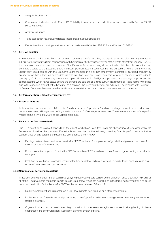- A regular health checkup
- Conclusion of directors and officers (D&O) liability insurance with a deductible in accordance with Section 93 (2), sentence 3 AktG
- Accident insurance
- Trade association fee, including related income tax payable, if applicable
- Fee for health and nursing care insurance in accordance with Section 257 SGB V and Section 61 SGB XI

#### D.3 Pension benefits

All members of the Executive Board are granted retirement benefits that they are eligible to receive after reaching the age of 63, but not before retiring from their position with Continental AG (hereinafter "retiree status"). With effect from January 1, 2014, the company pension scheme for members of the Executive Board was changed to a defined contribution plan. A capital component is credited to the Executive Board member's pension account each year. For this purpose, a fixed amount which the Supervisory Board agrees with the Executive Board member in his or her employment contract is multiplied annually by an age factor that reflects an appropriate interest rate. For Executive Board members who were already in office prior to January 1, 2014, the retirement agreement valid up until December 31, 2013, was superseded by a starting component on the capital account. When retiree status occurs, the benefits are paid out as a lump sum, in installments or – as is normally the case due to the expected amount of the benefits – as a pension. The retirement benefits are adjusted in accordance with Section 16 of German Company Pensions Law (BetrAVG) once retiree status occurs and benefit payments are to commence.

#### D.4 Performance bonus (short-term incentive, STI)

# D.4.1 Essential features

In the employment contract of each Executive Board member, the Supervisory Board agrees a target amount for the performance bonus (hereinafter "STI target amount") granted in the case of 100% target achievement. The maximum amount of the performance bonus is limited to 200% of the STI target amount.

#### D.4.2 Financial performance criteria

The STI amount to be paid out depends on the extent to which an Executive Board member achieves the targets set by the Supervisory Board for that particular Executive Board member for the following three key financial performance indicators (performance criteria pursuant to Section 87a (1), sentence 2, no. 4 AktG):

- Earnings before interest and taxes (hereinafter "EBIT"), adjusted for impairment of goodwill and gains and/or losses from the sale of parts of the company
- Return on capital employed (hereinafter ROCE) as a ratio of EBIT (as adjusted above) to average operating assets for the fiscal year
- Cash flow before financing activities (hereinafter "free cash flow"), adjusted for cash inflows/outflows from sales and acquisitions of companies and business units

#### D.4.3Non-financial performance criteria

In addition, before the beginning of each fiscal year, the Supervisory Board can set personal performance criteria for individual or all of the Executive Board members from the areas listed below, which can be included in the target achievement as a so-called personal contribution factor (hereinafter "PCF") with a value of between 0.8 and 1.2.

- Market development and customer focus (e.g. new markets, new product or customer segments);
- Implementation of transformational projects (e.g. spin-off, portfolio adjustment, reorganization, efficiency enhancement, strategic alliances):
- Organizational and cultural development (e.g. promotion of corporate values, agility and ownership, strengthening of internal cooperation and communication, succession planning, employer brand).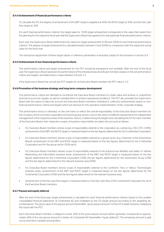#### D.4.4 Achievement of financial performance criteria

To calculate the STI, the degree of achievement of the EBIT target is weighted at 40%, the ROCE target at 30%, and the free cash flow target at 30%.

For each financial performance criterion, the target value for 100% target achievement corresponds to the value that results from the planning for the respective fiscal year that the Supervisory Board has agreed to for that particular financial performance criterion.

Each year, the Supervisory Board determines the values for target achievement of 0% and 200% for each financial performance criterion. The degree of target achievement is calculated linearly between 0 and 200% by comparison with the respective actual value for the fiscal year.

The retroactive adjustment of these target values or reference parameters is excluded, subject to the provision in section E.4.

#### D.4.5Achievement of non-financial performance criteria

The performance criteria and target achievement for the PCF should be transparent and verifiable. After the end of the fiscal year, the Supervisory Board assesses the performance of the individual Executive Board members based on the set performance criteria and targets, and determines a value between 0.8 and 1.2.

If the Supervisory Board has not set any PCF targets for an Executive Board member, the PCF value is 1.0.

#### D.4.6 Promotion of the business strategy and long-term company development

The performance criteria are intended to incentivize the Executive Board members to create value and achieve or outperform short-term economic targets, as well as motivate them to achieve operational excellence. The PCF also provides the Supervisory Board with the option to take into account the Executive Board members' individual or collective achievements based on nonfinancial performance criteria and targets which are decisive for the operative implementation of the corporate strategy.

The performance bonus is intended, on the one hand. to reflect the overall responsibility of the Executive Board members for the company and to promote cooperation among the group sectors, and on the other, to fulfill the requirements for independent management of the respective areas of the business. Hence, in determining the targets and calculating the STI for each member of the Executive Board, their respective scopes of business responsibility are taken into account as follows:

- For Executive Board members whose scope of responsibility extends to the corporation as a whole (e.g. CEO, CFO, CHRO), achievement of the EBIT and ROCE target is measured based on the key figures determined for the Continental Corporation.
- For Executive Board members whose scope of responsibility extends to a group sector (e.g. Chairman of the Automotive Board), achievement of the EBIT and ROCE target is measured based on the key figures determined for the Continental Corporation and for the group sector (50% each).
- For Executive Board members whose scope of responsibility extends to the Autonomous Mobility and Safety or Vehicle Networking and Information business areas, achievement of the EBIT and ROCE target is measured based on the key figures determined for the Continental Corporation (25%), the key figures determined for the Automotive Group (25%) and the key figures determined for the relevant business area (50%).
- For Executive Board members whose scope of responsibility extends to the ContiTech, Tires or Vitesco Technologies business areas, achievement of the EBIT and ROCE target is measured based on the key figures determined for the Continental Corporation (50%) and the key figures determined for the relevant business area.
- Achievement of the free cash flow target is measured based on the free cash flow of the Continental Corporation for all of the Executive Board members.

## D.4.7 Payout and equity deferral

After the end of the fiscal year, target achievement is calculated for each financial performance criterion based on the audited consolidated financial statements of Continental AG and multiplied by the STI target amount according to the weighting described above. The gross value of the payout amount (hereinafter "gross payout amount") of the STI is determined by multiplying this result with the PCF.

Each Executive Board member is obliged to invest 20% of the gross payout amount (which generally corresponds to approximately 40% of the net payout amount) in shares of Continental AG (hereinafter "equity deferral"). The remaining amount is paid out as short-term variable remuneration.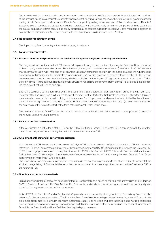The acquisition of the shares is carried out by an external service provider in a defined time period after settlement and provision of the amount, taking into account the currently applicable statutory regulations, especially the statutory rules governing insider trading (Article 7 et seq. of the Market Abuse Directive) and proprietary trading by managers (Art. 19 of the Market Abuse Directive). Executive Board members are obliged to hold the shares legally and economically for a minimum period of three years from the date of acquisition. Shares acquired as equity deferral may be credited against the Executive Board member's obligation to acquire shares of Continental AG in accordance with the Share Ownership Guidelines (see E.2 below).

#### D.4.8No special or recognition bonus

The Supervisory Board cannot grant a special or recognition bonus.

#### D.5 Long-term incentive (LTI)

## D.5.1 Essential features and promotion of the business strategy and long-term company development

The long-term incentive (hereinafter "LTI") is intended to promote long-term commitment among the Executive Board members to the company and its sustainable growth. For this reason, the long-term total shareholder return (hereinafter "TSR") of Continental shares compared to an index made up of, for example, European companies operating in the automotive and tire industries and comparable with Continental AG (hereinafter "comparison index") is a significant performance criterion for the LTI. The second performance criterion is a sustainability factor, which is multiplied by the degree of target achievement of the relative TSR to determine the LTI to be paid out. The development of Continental's share price over the term of the LTI is also crucial in determining the amount of the LTI to be paid out.

Each LTI is valid for a term of four fiscal years. The Supervisory Board agrees an allotment value in euros for the LTI with each member of the Executive Board in their employment contracts. At the start of the first fiscal year of the LTI plan's term, this allotment value is converted into a basic holding of virtual shares. For this purpose, the allotment value is divided by the arithmetic mean of the closing prices of Continental shares in XETRA trading on the Frankfurt Stock Exchange (or a successor system) in the final two months before the start of the term of the relevant LTI plan (issue price).

The maximum amount of the LTI to be paid out is limited to 200% of the allotment value defined in the employment contract of the relevant Executive Board member.

## D.5.2 Financial performance criterion

After four fiscal years of the term of the LTI plan, the TSR of Continental shares (Continental TSR) is compared with the development of the comparison index during this period to determine the relative TSR.

# D.5.3Attainment of the financial performance criterion

If the Continental TSR corresponds to the reference TSR, the TSR target is achieved 100%. If the Continental TSR falls below the reference TSR by 25 percentage points or more, the target achievement is 0%. If the Continental TSR exceeds the reference TSR by 25 percentage points or more, the target achievement is 150%. If the Continental TSR falls short of or exceeds the reference TSR by less than 25 percentage points, the degree of target achievement is calculated linearly between 50 and 150%. Target achievement of more than 150% is excluded.

The Supervisory Board determines appropriate regulations in the event of any changes to the share capital of Continental, the stock exchange listing of Continental shares or the comparison index that have a significant impact on the Continental TSR or the reference TSR.

## D.5.4Non-financial performance criteria

Sustainability is an integral part of the business strategy at Continental and is based on the four corporate values of Trust, Passion To Win, Freedom To Act and For One Another. For Continental, sustainability means having a positive impact on society and reducing the negative impact of business operations.

In fiscal 2019, the Executive Board of Continental AG passed a new sustainability strategy which the Supervisory Board has also taken up for the remuneration system. The Executive Board's sustainability strategy defines twelve key areas of focus: climate protection, clean mobility, a circular economy, sustainable supply chains, clean and safe factories, good working conditions, product quality, corporate governance, innovation and digitalization, safe mobility, long-term profitability, and social commitment. From this, the Executive Board identified the following strategic core areas: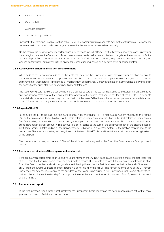- Climate protection
- Clean mobility
- A circular economy
- Sustainable supply chains

Specifically, the Executive Board of Continental AG has defined ambitious sustainability targets for these four areas. The concepts, performance indicators and individual targets required for this are to be developed successively.

On the basis of the existing concepts, performance indicators and individual targets for the twelve areas of focus, and in particular the strategic core areas, the Supervisory Board determines up to six performance criteria and targets for the sustainability factor of each LTI plan. These could include, for example, targets for CO2 emissions and recycling quotas or the monitoring of good working conditions for employees in the Continental Corporation (e.g. based on sick leave levels or accident rates).

#### D.5.5Achievement of non-financial performance criteria

When defining the performance criteria for the sustainability factor, the Supervisory Board pays particular attention not only to the availability of necessary data at corporation level and the quality of data and its comparability over time, but also to how the achievement of these targets is influenced by management performance. Moreover, target achievement should be verifiable in the context of the audit of the company's non-financial statement.

The Supervisory Board reviews the achievement of the defined targets on the basis of the audited consolidated financial statements and non-financial statement of the Continental Corporation for the fourth fiscal year of the term of the LTI plan. To calculate the sustainability factor, a value resulting from the division of the value 0.6 by the number of defined performance criteria is added to the 0.7 value for each target that has been achieved. The maximum sustainability factor amounts to 1.3.

#### D.5.6 Payout of the LTI

To calculate the LTI to be paid out, the performance index (hereinafter "PI") is first determined by multiplying the relative TSR by the sustainability factor. Multiplying the basic holding of virtual shares by the PI gives the final holding of virtual shares. The final holding of virtual shares is multiplied by the payout ratio in order to determine the LTI amount to be paid out in euros (hereinafter "payout amount"). The payout ratio corresponds to the sum of the arithmetic mean of the closing prices of Continental shares in Xetra trading on the Frankfurt Stock Exchange (or a successor system) in the last two months prior to the next Annual Shareholders' Meeting following the end of the term of the LTI plan and the dividends paid per share during the term of the LTI plan.

The payout amount may not exceed 200% of the allotment value agreed in the Executive Board member's employment contract.

## D.5.7 Premature termination of the employment relationship

If the employment relationship of an Executive Board member ends without good cause before the end of the first fiscal year of an LTI plan, the Executive Board member is entitled to a reduced LTI pro rata temporis. If the employment relationship of an Executive Board member ends without good cause following the end of the first fiscal year but before the end of the term of an LTI plan, the Executive Board member retains his or her claim to the full LTI. The remaining conditions of the LTI remain unchanged; the date for calculation and the due date for the payout in particular, remain unchanged. In the event of early termination of the employment relationship for an important reason, there is no entitlement to payment of an LTI, also not to payment of a pro rata LTI.

## D.6 Remuneration report

In the remuneration report for the past fiscal year, the Supervisory Board reports on the performance criteria set for that fiscal year and the degree of attainment of each target.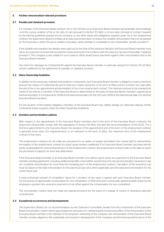#### E. Further remuneration-relevant provisions

#### E.1 Penalty and clawback provision

If a member of the Executive Board acting in his or her function as an Executive Board member demonstrably and knowingly commits a gross violation of his or her duty of care pursuant to Section 93 AktG, or of any basic principle of conduct required by the internal guidelines enacted by the company, or any other duties and obligations required under his or her employment contract, the Supervisory Board is entitled, at its duty-bound discretion, to reduce the variable remuneration that is to be granted for the fiscal year in which the gross violation took place, either partially or completely to zero (hereinafter "penalty provision").

If the variable remuneration has already been paid out by the time of the reduction decision, the Executive Board member must return any payment received that exceeds the reduced amount in accordance with the reduction decision (hereinafter "clawback provision"). The company is also entitled in such cases to offset issued bonus payments against other remuneration due to the Executive Board member.

Any claims for damages by Continental AG against the Executive Board member, in particular arising from Section 93 (2) AktG, remain unaffected by the agreement of a penalty or clawback provision.

#### E.2 Share Ownership Guideline

In addition to the previously outlined remuneration components, each Executive Board member is obliged to invest a minimum amount into shares of Continental AG and to hold such shares during his or her term of office and for a further two years after the end of his or her appointment and termination of his or her employment contract. The minimum amount to be invested into shares to be held by a member of the Executive Board is determined on the basis of Executive Board member's agreed gross fixed annual salary. It corresponds to 200% of the fixed annual salary for the CEO, and 100% of the fixed annual salary for all other Executive Board members.

For the duration of the holding obligation, members of the Executive Board may neither pledge nor otherwise dispose of their Continental shares acquired under the Share Ownership Guidelines.

#### E.3 Duration and termination options

With respect to the appointment of the Executive Board members and to the term of the Executive Board contracts, the Supervisory Board shall comply with the stipulations of Section 84 AktG and with the recommendations of the GCGC. For a first-time appointment to the Executive Board, the duration of the appointment and of the term of the employment contract is generally three years. For reappointments or an extension to the term of office, the maximum term of the employment contract is five years.

The employment contracts do not make any provisions for an option of regular termination; the mutual right to extraordinary termination of the employment contract for good cause remains unaffected. If an Executive Board member becomes permanently incapacitated for work during the term of the employment contract, the employment contract ends on the date on which the permanent incapacity for work was determined.

If the Executive Board activities of an Executive Board member end without good cause, any payments to the Executive Board member pending agreement, including additional benefits, must neither exceed twice the annual remuneration (severance cap), nor constitute remuneration for more than the remaining term of the employment contract. Calculation of the severance cap must be based on the total remuneration for the past fiscal year and, where applicable, also the expected remuneration for the current fiscal year.

A post-contractual restraint of competition clause for a duration of two years is agreed with each Executive Board member. For this period, an appropriate compensation for non-competition of 50% of the last contractually agreed benefits drawn by the employee is granted. Any severance payment is to be offset against the compensation for non-competition.

The remuneration system does not make any special provisions for the event of a change of control or severance payment commitments.

## E.4 Exceptional occurrences and developments

The Supervisory Board can, on recommendation by the Chairman's Committee, deviate from the components of the Executive Board remuneration system where appropriate and necessary for maintaining the incentivizing effect of the remuneration of the Executive Board member in the interests of the long-term well-being of the company; the remuneration of the Executive Board member remains aligned to the sustainable and long-term development of the Company and the financial performance of the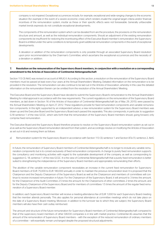company is not impaired. Exceptional occurrences include, for example, exceptional and wide-ranging changes to the economic situation (for example in the event of a severe economic crisis), which renders invalid the original target criteria and/or financial incentives of the remuneration system, insofar as these or their specific effects were not foreseeable. Generally unfavorable market trends expressly do not constitute exceptional developments.

The components of the remuneration system which can be deviated from are the procedure, the provisions on the remuneration structure and amount, as well as the individual remuneration components. Should an adjustment of the existing remuneration components be insufficient for restoring the incentivizing effect of the Executive Board member's remuneration, the Supervisory Board is entitled under the same conditions to temporarily grant additional remuneration components in the event of exceptional developments.

A deviation or addition of the remuneration components is only possible through an associated Supervisory Board resolution upon prior recommendation by the Chairman's Committee, which ascertains the exceptional occurrences and the necessity of a deviation or addition.

# 7. Resolution on the remuneration of the Supervisory Board members, in conjunction with a resolution on a corresponding amendment to the Articles of Association of Continental Aktiengesellschaft

Section 113 (3) AktG was revised on account of ARUG II. According to this section, a resolution on the remuneration of the Supervisory Board members must be passed at least every four years at the Annual Shareholders' Meeting. Detailed information on the remuneration is to be provided in the resolution. The remuneration can also continue to be laid out in the Articles of Association, whereby in this case the detailed information on the remuneration therein can be omitted from the resolution of the Annual Shareholders' Meeting.

The Executive Board and the Supervisory Board have decided to submit the Supervisory Board's remuneration to the Annual Shareholders' Meeting for initial approval in accordance with the new requirements. The current regulations on the remuneration of the Supervisory Board members, as laid down in Section 16 of the Articles of Association of Continental Aktiengesellschaft (as of May 29, 2015), were passed by the Annual Shareholders' Meeting on April 27, 2012. These regulations provide for fixed remuneration components and variable remuneration components. In this light, supported by an independent advisor, a new remuneration system for the Supervisory Board members was drawn up and the Executive Board and the Supervisory Board each passed this separately. This also corresponds, in particular, to suggestion G.18 sentence 1 of the new GCGC, which sets forth that the remuneration of the Supervisory Board members should, going forward, only comprise fixed remuneration.

The Executive Board and the Supervisory Board therefore propose to resolve on the Supervisory Board remuneration system as set out in a) as well as the Supervisory Board remuneration derived from that system, and accordingly resolve on modifying the Articles of Association as set out in b) and revising them as follows:

a) Remuneration system for the Supervisory Board in accordance with Section 113 (3), sentence 1 and Section 87a (1), sentence 2, AktG

In future, the remuneration of Supervisory Board members of Continental Aktiengesellschaft is no longer to include any variable remuneration components but is to consist exclusively of fixed remuneration components. A change to purely fixed remuneration supports the consultancy and monitoring activities with regard to the sustainable development of the company, as well as corresponding to suggestion G. 18, sentence 1 of the new GCGC. It is the view of Continental Aktiengesellschaft that a purely fixed remuneration is better suited to strengthening the independence of the Supervisory Board members and appropriately remunerating their efforts.

The abolition of the variable remuneration component necessitates an increase in the current fixed remuneration for Supervisory Board members of EUR 75,000 to EUR 180,000 annually in order to maintain the previous remuneration level. It is proposed that the Chairperson and the Deputy Chairperson of the Supervisory Board as well as the Chairperson and members of committees will continue to receive increased remuneration in future. For the Chairperson of the Supervisory Board, it will amount to 3 times the amount, for the Chairperson of the Audit Committee 2.5 times the amount, for the Chairpersons of other committees 2 times the amount, and for the Deputy Chairperson of the Supervisory Board and for members of committees 1.5 times the amount of the regular fixed remuneration of a Supervisory Board member.

In addition, each Supervisory Board member will receive a meeting-attendance fee of EUR 1,000 for each Supervisory Board meeting that the member attends personally. This also applies for personal attendance at committee meetings which do not take place on the date of a Supervisory Board meeting. Moreover, in addition to the turnover tax to which they are subject, the Supervisory Board members will also have their cash outlay reimbursed.

The amount and structure of the future remuneration for Supervisory Board members of Continental Aktiengesellschaft compared to that of the supervisory board members of other DAX30 companies is in line with market practice. Continental AG assumes that the amount of the remuneration of Supervisory Board members – with the exception of the reduced remuneration of ordinary members of a committee – will essentially remain unchanged despite the proposed structural adjustments.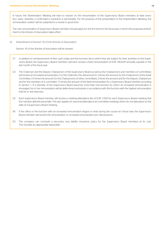In future, the Shareholders' Meeting will have to resolve on the remuneration of the Supervisory Board members at least every four years, whereby a confirmatory resolution is permissible. For the purpose of this presentation to the Shareholder's Meeting, the remuneration system will be subjected to a review in good time.

The new remuneration of Supervisory Board members should apply for the first time for the fiscal year in which the proposed amendment to the Articles of Association takes effect.

b) Amendment of Section 16 of the Articles of Association

Section 16 of the Articles of Association will be revised::

- (1) In addition to reimbursement of their cash outlay and the turnover tax to which they are subject for their activities on the Supervisory Board, the Supervisory Board members will each receive a fixed remuneration of EUR 180,000 annually, payable in the last month of the fiscal year.
- (2) The Chairman and the Deputy Chairperson of the Supervisory Board as well as the Chairpersons and members of committees will receive an increased remuneration. For the Chairman, this will amount to 3-times the amount, for the Chairperson of the Audit Committee 2.5-times the amount, for the Chairpersons of other committees 2-times the amount and for the Deputy Chairperson and for the members of a committee 1.5-times the amount of the fixed remuneration for a Supervisory Board member according to section 1. If a member of the Supervisory Board assumes more than one function for which an increased remuneration is envisaged, his or her remuneration will be determined exclusively in accordance with the function with the highest remuneration that he or she exercises.
- (3) Each Supervisory Board member will receive a meeting-attendance fee of EUR 1,000 for each Supervisory Board meeting that the member attends personally. This also applies for personal attendance at committee meetings which do not take place on the date of a Supervisory Board meeting.
- (4) If the office or the function with an increased remuneration begins or ends during the course of a fiscal year, the Supervisory Board member will receive the remuneration or increased remuneration pro rata temporis.
- (5) The company can conclude a pecuniary loss liability insurance policy for the Supervisory Board members at its cost. This includes an appropriate deductible.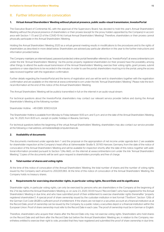# II. Further information on convocation

## 1. Virtual Annual Shareholders' Meeting without physical presence, public audio-visual transmission, InvestorPortal

The Executive Board of Continental AG, with the approval of the Supervisory Board, has decided to hold this year's Annual Shareholders' Meeting without the physical presence of shareholders or their proxies (except for the proxy holders appointed by the Company) in accordance with Section 1 (1) and (2) of the COVID-19 Act (virtual Annual Shareholders' Meeting). Therefore, shareholders or their proxies cannot physically participate in the Annual Shareholders' Meeting.

Holding the Annual Shareholders' Meeting 2020 as a virtual general meeting results in modifications to the procedures and to the rights of shareholders as described in more detail below. Shareholders are advised pay particular attention in this year to the further instructions and information provided below.

The Company maintains an internet-based, password-protected online portal (hereinafter referred to as "InvestorPortal") at www.continental-ir.com under the link "Annual Shareholders' Meeting". Via this portal, properly registered shareholders (or their proxies) have the possibility, among other things, to attend the audio-visual transmission of the Annual Shareholders' Meeting, exercise their voting rights, grant proxies, submit questions or raise objections to be recorded in the minutes. In order to use the portal, shareholders must log in to the portal, using the access data received together with the registration confirmation.

Further details regarding the InvestorPortal and the terms of registration and use will be sent to shareholders together with the registration confirmation and are available on the internet at www.continental-ir.com under the link "Annual Shareholders' Meeting". Please note the technical information at the end of this notice of the Annual Shareholders' Meeting.

The Annual Shareholders' Meeting will be publicly transmitted in full on the internet in an audio-visual stream.

For technical questions about the InvestorPortal, shareholders may contact our relevant service provider before and during the Annual Shareholder's Meeting at the following number:

Shareholder Hotline: +49 (0)89 30903-6324

The Shareholder Hotline is available from Monday to Friday between 9:00 a.m. and 5 p.m. and on the date of the Annual Shareholders' Meeting, July 14, 2020, from 8:00 a.m., except on public holidays in Bavaria, Germany.

For technical questions before the beginning of the virtual Annual Shareholders' Meeting, shareholders may also contact our service provider at the following e mail address: anmeldestelle@computershare.de.

# 2. Availability of documents

The documents mentioned under agenda item 1 and the proposal on the appropriation of net income under agenda item 2 are available for shareholder inspection at the Company's head office at Vahrenwalder Straße 9, 30165 Hanover, Germany, from the date of the notice of convocation of the Annual Shareholders' Meeting and will be available for inspection shortly after the date of this notice, together with additional information provided pursuant to Section 124a AktG, on the internet at www.continental-ir.com under the link "Annual Shareholders' Meeting." Copies of the documents will be sent upon request to shareholders promptly and free of charge.

# 3. Total number of shares and voting rights

At the time of this notice of convocation of the Annual Shareholders' Meeting, the total number of shares and the number of voting rights issued by the Company each amount to 200,005,983. At the time of this notice of convocation of the Annual Shareholders' Meeting, the Company holds no treasury shares.

## 4. Requirements for exercising shareholder rights, in particular voting rights, Record Date and its significance

Shareholder rights, in particular voting rights, can only be exercised by persons who are shareholders in the Company at the beginning of the 21st day before the Annual Shareholders' Meeting, i.e. on June 23, 2020, 00:00 hours ("Record Date"), who have registered for the Annual Shareholders' Meeting in due time, and who have submitted proof of their entitlement to exercise shareholder rights (hereinafter "properly registered shareholders"). A special proof of share ownership issued by the custodian institution in text format (*"Textform"*, Section 126b of the German Civil Code (*BGB*)) is sufficient proof of entitlement. If the shares are not kept in a securities account at a financial institution as at the Record Date, proof of ownership can be issued by the Company, by a public notary, a securities depot or a financial institution within the European Union. Proof of share ownership must refer to the Record Date in each case. The proof of ownership must be in German or English.

Therefore, shareholders who acquire their shares after the Record Date only may not exercise voting rights. Shareholders who hold shares on the Record Date and sell them after the Record Date but before the Annual Shareholders' Meeting are, in relation to the Company, nevertheless entitled to exercise their right to vote, provided that they have registered and submitted the proof of share ownership in due time.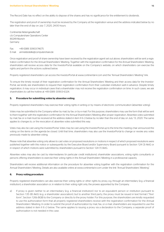The Record Date has no effect on the ability to dispose of the shares and has no significance for the entitlement to dividends.

The registration and proof of ownership must be received by the Company at the registration venue and the address indicated below by no later than the end of day on July 7, 2020, 24:00 hours:

Continental Aktiengesellschaft c/o Computershare Operations Center 80249 Munich Germany

Fax: +49 (0)89 30903-74675 E-mail: anmeldestelle@computershare.de

Once registration and proof of share ownership have been received by the registration agent set out above, shareholders will be sent a registration confirmation for the Annual Shareholders' Meeting. Together with the registration confirmation for the Annual Shareholders' Meeting, shareholders will receive access data for the InvestorPortal available on the Company's website, on which shareholders can exercise the rights and perform the actions outlined below.

Properly registered shareholders can access the InvestorPortal at www.continental-ir.com and the "Annual Shareholders' Meeting" link.

To ensure the timely receipt of their registration confirmation for the Annual Shareholders' Meeting and their access data for the Investor-Portal, we kindly ask shareholders to request their registration confirmation from their custodian institution well in advance. Despite timely registration, it may occur in individual cases that a shareholder may not receive the registration confirmation on time. In such cases, we ask shareholders to call the hotline at +49 (0)89 30903-6324.

## 5. Procedure for submitting votes by absentee voting

Properly registered shareholders may exercise their voting rights in writing or by means of electronic communication (absentee voting).

Votes may be submitted to the Company either by mail, by fax, or by e-mail. For this purpose, shareholders may use the form that will be sent to them together with the registration confirmation for the Annual Shareholders' Meeting after proper registration. Absentee votes submitted by mail, fax or e-mail must be received at the address stated in item II 6 c) below by no later than the end of day on July 13, 2020. The same applies to changes to, or the revocation of, absentee votes submitted this way.

Votes may also be cast using the InvestorPortal. Votes may be cast using the InvestorPortal up to the time the meeting chair announced the voting on the items on the agenda be closed. Until that time, shareholders may also use the InvestorPortal to change or revoke any votes previously made by absentee voting.

Please note that absentee voting only allows to cast votes on proposed resolutions or motions in respect of which proposed resolutions were published together with this notice or subsequently by the Executive Board and/or Supervisory Board pursuant to Section 124 (3) AktG or in respect of which motions were submitted by shareholders pursuant to Section 124 (1) AktG.

Absentee votes may also be cast by intermediaries (in particular credit institutions), shareholder associations, voting rights consultants or persons offering shareholders to exercise their voting rights in the Annual Shareholders' Meeting in a professional capacity.

Shareholders will receive additional information on the procedure for absentee voting together with the registration confirmation for the Annual Shareholders' Meeting. Details are also available online at www.continental-ir.com under the link "Annual Shareholders' Meeting".

## 6. Proxy voting procedure

Properly registered shareholders can also exercise their voting rights or other rights by proxy, e.g. through an intermediary (e.g. a financial institution), a shareholder association or, in relation to their voting right only, the proxies appointed by the Company.

a) If proxy is given neither to an intermediary (e.g. a financial institution) nor to an equivalent person or institution pursuant to Section 135 (8) AktG (e.g. a shareholder association), but to another third party, the proxy must be issued in text format (*"Textform",* Section 126b BGB) to the Company or directly to the proxy holder. For this purpose, the shareholders are kindly requested to use the authorization form that all properly registered shareholders receive with the registration confirmation for the Annual Shareholders' Meeting. In order to submit the proof of authorization by mail, fax, or e-mail, shareholders are requested to use the address stated in item II 6 c) below. The same applies to issuing a proxy via a declaration to the Company; a separate proof of authorization is not needed in this case.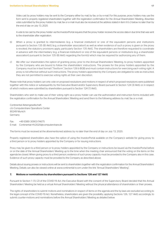Votes cast by proxy holders may be sent to the Company either by mail, by fax, or by e-mail. For this purpose, proxy holders may use the form sent to properly registered shareholders together with the registration confirmation for the Annual Shareholders' Meeting. Absentee votes submitted by the proxy holders by mail, fax or e-mail must also be received at the address stated in item II 6 c) below no later than by the end of day on July 13, 2020.

A vote to be cast by the proxy holder via the InvestorPortal requires that the proxy holder receives the access data in due time that was sent to the shareholder after registration.

- b) When a proxy is granted to intermediaries (e.g. a financial institution) or one of the equivalent persons and institutions pursuant to Section 135 (8) AktG (e.g. a shareholder association) as well as when evidence of such a proxy is given or the proxy is revoked, the statutory provisions apply, particularly Section 135 AktG. The shareholders are therefore requested to coordinate in advance with the intermediary (e.g. a financial institution) or one of the equivalent persons or institutions (e.g. a shareholder association) pursuant to Section 135 (8) AktG regarding the form(s) which may be required for authorizing any of them.
- c) We offer our shareholders the option of granting proxy, prior to the Annual Shareholders' Meeting, to proxy holders appointed by the Company who are bound to follow the shareholders' instructions. The proxies for the proxy holders appointed by the Company must be in text format (*"Textform"*, Section 126 b BGB) and must contain instructions for exercising each voting right. A proxy is not effective without such instructions. The proxy holders appointed by the Company are obligated to vote as instructed; they are not permitted to exercise voting rights at their own discretion.

Please note that proxy holders can only vote on proposed resolutions and motions in respect of which proposed resolutions were published together with this notice or subsequently by the Executive Board and/or Supervisory Board pursuant to Section 124 (3) AktG or in respect of which motions were submitted by shareholders pursuant to Section 124 (1) AktG.

Shareholders who wish to make use of their voting right via a proxy holder can use the authorization and instruction forms included with the registration confirmation for the Annual Shareholders' Meeting and send them to the following address by mail, fax or e-mail:

Continental Aktiengesellschaft c/o Computershare Operations Center 80249 Munich Germany

Fax: +49 (0)89 30903-74675 E-mail: Continental-HV2020@computershare.de

The forms must be received at the aforementioned address by no later than the end of day on July 13, 2020.

Properly registered shareholders also have the option of using the InvestorPortal available on the Company's website for giving proxy to a third person or to proxy holders appointed by the Company or for issuing instructions.

Proxy may be given to a third person or to proxy holders appointed by the Company or instructions be issued via the InvestorPortal before or on the date of the Annual Shareholders' Meeting up to the time when the meeting chair announced that the voting on the items on the agenda be closed. When giving proxy to a third person, evidence of such proxy capacity must be provided to the Company also in this case. Evidence of such proxy capacity must be provided to the Company as described above.

Details about issuing proxies or instructions will be sent to shareholders together with the registration confirmation for the Annual Shareholders' Meeting. Details can also be viewed online at www.continental-ir.com under the link "Annual Shareholders' Meeting".

## 7. Motions or nominations by shareholders pursuant to Sections 126 and 127 AktG

Pursuant to Section 1 (1), (2) of the COVID-19 Act, the Executive Board with the consent of the Supervisory Board decided that the Annual Shareholders' Meeting be held as a virtual Annual Shareholders' Meeting without the physical attendance of shareholders or their proxies.

The rights of shareholders to submit motions and nominations in respect of items on the agenda and the by-laws are excluded according to the legal concept of the COVID-19 Act. Nonetheless, shareholders are given the possibility, applying Sections 126, 127 AktG accordingly, to submit counter-motions and nominations before the Annual Shareholders' Meeting as detailed below: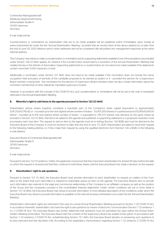Continental Aktiengesellschaft Abteilung Hauptversammlung Vahrenwalder Straße 9 30165 Hannover Germany

#### E-mail: hv@conti.de

Countermotions or nominations by shareholders that are to be made available will be published online immediately upon receipt at www.continental-ir.de under the link "Annual Shareholders' Meeting," provided that we receive them at the above address by no later than the end of June 29, 2020. Motions sent to other addresses will not be considered. We will publish any management responses at the same Internet address.

The Company may refuse to make a countermotion or nomination and its supporting statements available if one of the exceptions enumerated under Section 126 (2) AktG applies, for instance if the countermotion would lead to a resolution of the Annual Shareholders' Meeting that violates the law or the Articles of Association. Supporting statements to a countermotion do not need to be made available if the statements contain more than 5,000 characters in total.

Additionally, a nomination under Section 127 AktG does not need to be made available if the nomination does not include the name, occupation held and place of domicile of the candidate proposed to be elected as auditor or if – provided the election for a Supervisory Board member is being held – the nomination for the election of Supervisory Board members does not also contain information about the nominee's membership of other statutorily mandated supervisory boards.

However, in accordance with the concept of the COVID-19 Act, such countermotions or nominations will not be put to the vote or transacted otherwise in the Annual Shareholders' Meeting.

## 8. Minority's right to add items to the agenda pursuant to Section 122 (2) AktG

Shareholders whose shares together constitute a twentieth part of the Company's share capital (equivalent to approximately EUR 25,600,765.82 or – rounded up to the next highest whole number of shares – 10,000,300 shares) or a partial amount of EUR500,000.00 (which – rounded up to the next highest whole number of shares – is equivalent to 195,313 shares), may demand, by the same means as provided in Section 122 (1) AktG, that items be added to the agenda and published. A supporting statement or a proposed resolution must accompany each new item. The request to add an item to the agenda must be in writing (Section 126 BGB) and must be directed to the Executive Board of the Company. It must be received no later than the end of June 13, 2020. Shareholders are asked to send their request to the following mailing address, or, if they make their request by using the qualified electronic form (Section 126 a BGB), to the following e-mail address:

Executive Board of Continental Aktiengesellschaft Vahrenwalder Straße 9 30165 Hannover Germany

E-mail: hv@conti.de

Pursuant to Section 122 (1) sentence 3 AktG, the applicants must prove that they have been shareholders for at least 90 days before the date on which the request is received and that they continue to hold these shares until the Executive Board has made a decision on the request.

# 9. Shareholders' right to ask questions

Pursuant to Section 131 (1) AktG, the Executive Board must provide information to each shareholder on request on matters of the Company to the extent that such information is required to reasonably assess an item on the agenda. The Executive Board's duty to provide such information also extends to the legal and commercial relationships of the Company to an affiliated company, as well as the position of the Group and the companies included in the consolidated financial statements. Under certain conditions set out in more detail in Section 131 (3) AktG, the Executive Board may refuse to provide information. A more detailed description of the conditions under which the Executive Board may refuse to provide information is available on the internet at www.continental-ir.com under the link "Annual Shareholders' Meeting".

Shareholders' information rights are restricted in the case of a virtual Annual Shareholders' Meeting pursuant to Section 1 (2) COVID-19 Act. In accordance therewith, shareholders only have the right to ask questions by means of electronic communication (Section 1 (2) sentence 1 no. 3 COVID-19 Act). The Executive Board may further determine that questions must be submitted two days before the Annual Shareholders' Meeting at the latest. The Executive Board with the consent of the Supervisory Board has availed of this option. In accordance with Section 1 (2) sentence 2 COVID-19 Act, notwithstanding Section 131 AktG, the Executive Board decides on answering such questions in its duly exercised and free discretion only. According to the explanatory memorandum regarding Section 1 (2) sentence 2 COVID-19 Act,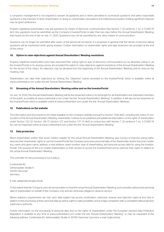a company's management is not required to answer all questions and is rather permitted to summarize questions and select reasonable questions in the interests of other shareholders. In doing so, shareholder associations and institutional investors holding significant interests may be given preference.

Properly registered shareholders may ask questions by means of electronic communication (see Section 1 (2) sentence 1 no. 3 COVID-19 Act). Any questions must be submitted via the Company's InvestorPortal no later than two days before the Annual Shareholders' Meeting, that means by the end of day on July 11, 2020. Questions may not be submitted by any other means of communication.

Questions can no longer be submitted after expiry of the period set out above. It is proposed, in general, that the names of persons asking questions will be mentioned when giving answers. Further information on shareholder rights and data protection are provided at the end of this notice.

## 10. Option to raise objections against Annual Shareholders' Meeting resolutions

Properly registered shareholders who have exercised their voting right by way of electronic communication (i.e. by absentee voting or via the InvestorPortal) or by issuing a proxy are provided the option to raise objections against resolutions of the Annual Shareholders' Meeting for the record of the notary. An objection may be declared from the beginning of the Annual Shareholders' Meeting until its close by the meeting chair.

Shareholders can raise their objections by clicking the "Objection" button provided on the InvestorPortal, which is available online at www.continental-ir.com under the link "Annual Shareholders' Meeting".

## 11. Streaming of the Annual Shareholders' Meeting online and on the InvestorPortal

On July 14, 2020, the Annual Shareholders' Meeting will be live-streamed online in its full length for all shareholders and interested members of the public, accessible at www.continental-ir.com under the link "Annual Shareholders' Meeting." In addition, it will also be live-streamed on the InvestorPortal, which is available online at www.continental-ir.com under the link "Annual Shareholders' Meeting."

## 12. Publications on the website

The information and documents to be made available on the Company website pursuant to Section 124a AktG, including this notice of convocation of the Annual Shareholders' Meeting, shareholder motions to be published and additional information on the rights of shareholders under Section 122 (2), Section 126 (1), Section 127, and Section 131 (1) AktG in conjunction with Section 1 (2) sentence 1 no. 3 COVID-19 Act can be inspected online at www.continental-ir.com under the link "Annual Shareholders' Meeting".

# 13. Data protection

When shareholders and/or their proxy holders register for the virtual Annual Shareholders' Meeting, give a proxy to exercise voting rights, exercise their shareholder rights or use the InvestorPortal, the Company processes personal data of the shareholder and/or the proxy holder (e.g. name and given name, address, e-mail address, share number, type of shareholding, and personal access data for using the Investor-Portal). The purpose of this is to enable shareholders or their proxies to access the InvestorPortal and to exercise their rights in relation to the virtual Annual Shareholders' Meeting.

The controller for the processing of such data is:

Continental AG Vahrenwalder Straße 9 30165 Hannover Germany

E-mail: dataprotection@conti.de

To the extent that the Company uses service providers to hold the virtual Annual Shareholders' Meeting, such providers will process personal data of shareholders on behalf of the Company only and are otherwise obliged to observe secrecy.

Where statutory requirements are met, each data subject has access, rectification, restriction, erasure and objection rights at any time in relation to the processing of their personal data as well as rights to data portability and to lodge complaints with a competent data protection supervisory authority.

Further information on the processing of personal data and on the rights of shareholders under the European General Data Protection Regulation is available at any time at www.continental-ir.com under the link "Annual Shareholders' Meeting" or may be requested at the following address: Continental AG, Vahrenwalder Straße 9, 30165 Hannover, Germany; e-mail: hv@conti.de.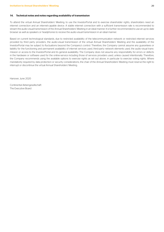## 14. Technical notes and notes regarding availability of transmission

To attend the virtual Annual Shareholders' Meeting, to use the InvestorPortal and to exercise shareholder rights, shareholders need an internet connection and an internet-capable device. A stable internet connection with a sufficient transmission rate is recommended to stream the audio-visual transmission of the Annual Shareholders' Meeting in an ideal manner. It is further recommended to use an up-to-date browser as well as speakers or headphones to receive the audio-visual transmission in an ideal manner.

Based on current technological standards, due to restricted availability of the telecommunication network or restricted internet services provided by third party providers, the audio-visual transmission of the virtual Annual Shareholders' Meeting and the availability of the InvestorPortal may be subject to fluctuations beyond the Company's control. Therefore, the Company cannot assume any guarantees or liability for the functioning and permanent availability of internet services used, third-party network elements used, the audio-visual transmission or access to the InvestorPortal and its general availability. The Company does not assume any responsibility for errors or defects in the hardware or software used for the online-service including those of services providers used, unless caused intentionally. Therefore, the Company recommends using the available options to exercise rights as set out above, in particular to exercise voting rights. Where mandatorily required by data protection or security considerations, the chair of the Annual Shareholders' Meeting must reserve the right to interrupt or discontinue the virtual Annual Shareholders' Meeting.

Hanover, June 2020

Continental Aktiengesellschaft The Executive Board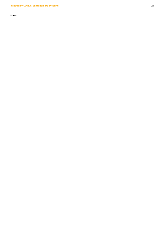# Notes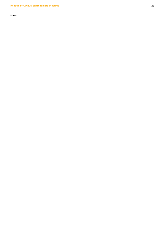# Notes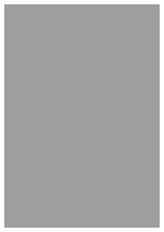